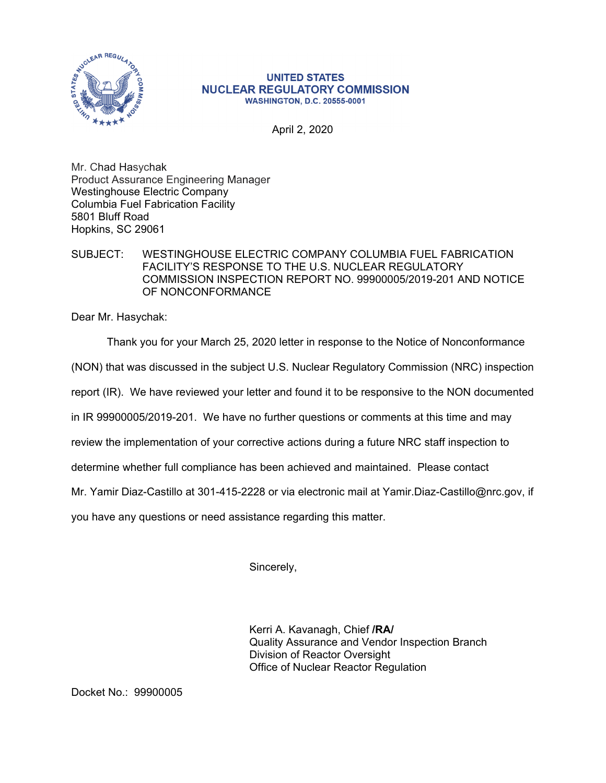

## **UNITED STATES NUCLEAR REGULATORY COMMISSION WASHINGTON, D.C. 20555-0001**

April 2, 2020

Mr. Chad Hasychak Product Assurance Engineering Manager Westinghouse Electric Company Columbia Fuel Fabrication Facility 5801 Bluff Road Hopkins, SC 29061

## SUBJECT: WESTINGHOUSE ELECTRIC COMPANY COLUMBIA FUEL FABRICATION FACILITY'S RESPONSE TO THE U.S. NUCLEAR REGULATORY COMMISSION INSPECTION REPORT NO. 99900005/2019-201 AND NOTICE OF NONCONFORMANCE

Dear Mr. Hasychak:

Thank you for your March 25, 2020 letter in response to the Notice of Nonconformance

(NON) that was discussed in the subject U.S. Nuclear Regulatory Commission (NRC) inspection

report (IR). We have reviewed your letter and found it to be responsive to the NON documented

in IR 99900005/2019-201. We have no further questions or comments at this time and may

review the implementation of your corrective actions during a future NRC staff inspection to

determine whether full compliance has been achieved and maintained. Please contact

Mr. Yamir Diaz-Castillo at 301-415-2228 or via electronic mail at Yamir.Diaz-Castillo@nrc.gov, if

you have any questions or need assistance regarding this matter.

Sincerely,

Kerri A. Kavanagh, Chief **/RA/**  Quality Assurance and Vendor Inspection Branch Division of Reactor Oversight Office of Nuclear Reactor Regulation

Docket No.: 99900005